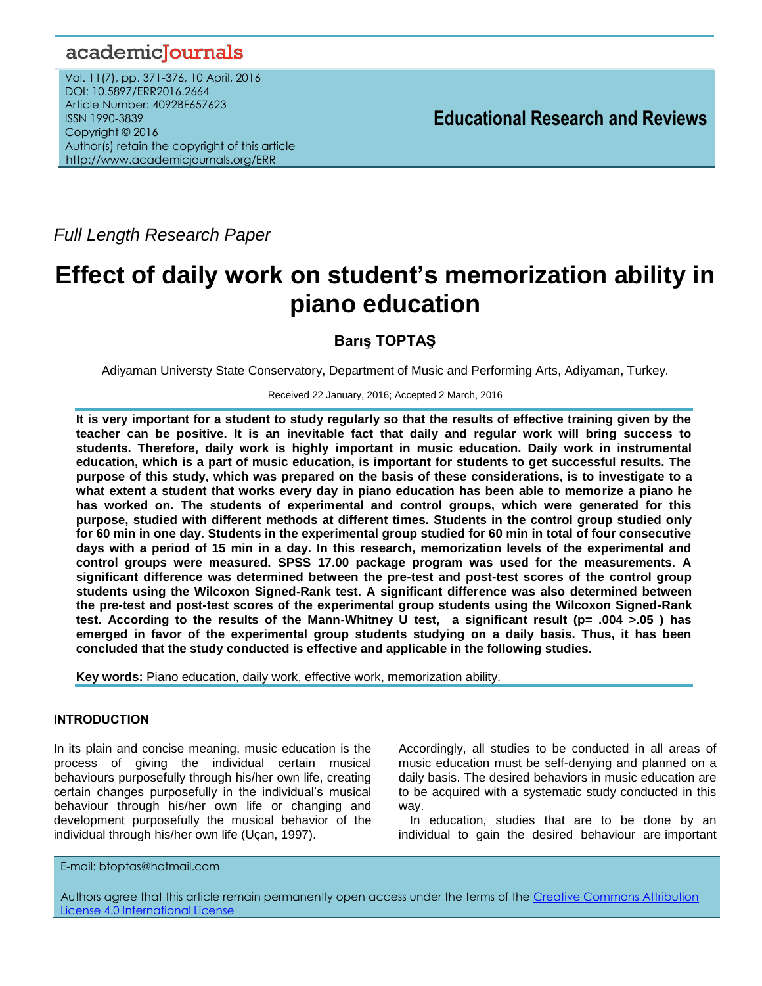# academicJournals

Vol. 11(7), pp. 371-376, 10 April, 2016 DOI: 10.5897/ERR2016.2664 Article Number: 4092BF657623 ISSN 1990-3839 Copyright © 2016 Author(s) retain the copyright of this article http://www.academicjournals.org/ERR

**Educational Research and Reviews**

*Full Length Research Paper*

# **Effect of daily work on student's memorization ability in piano education**

**Barış TOPTAŞ**

Adiyaman Universty State Conservatory, Department of Music and Performing Arts, Adiyaman, Turkey.

Received 22 January, 2016; Accepted 2 March, 2016

**It is very important for a student to study regularly so that the results of effective training given by the teacher can be positive. It is an inevitable fact that daily and regular work will bring success to students. Therefore, daily work is highly important in music education. Daily work in instrumental education, which is a part of music education, is important for students to get successful results. The purpose of this study, which was prepared on the basis of these considerations, is to investigate to a what extent a student that works every day in piano education has been able to memorize a piano he has worked on. The students of experimental and control groups, which were generated for this purpose, studied with different methods at different times. Students in the control group studied only for 60 min in one day. Students in the experimental group studied for 60 min in total of four consecutive days with a period of 15 min in a day. In this research, memorization levels of the experimental and control groups were measured. SPSS 17.00 package program was used for the measurements. A significant difference was determined between the pre-test and post-test scores of the control group students using the Wilcoxon Signed-Rank test. A significant difference was also determined between the pre-test and post-test scores of the experimental group students using the Wilcoxon Signed-Rank test. According to the results of the Mann-Whitney U test, a significant result (p= .004 >.05 ) has emerged in favor of the experimental group students studying on a daily basis. Thus, it has been concluded that the study conducted is effective and applicable in the following studies.**

**Key words:** Piano education, daily work, effective work, memorization ability.

# **INTRODUCTION**

In its plain and concise meaning, music education is the process of giving the individual certain musical behaviours purposefully through his/her own life, creating certain changes purposefully in the individual"s musical behaviour through his/her own life or changing and development purposefully the musical behavior of the individual through his/her own life (Uçan, 1997).

Accordingly, all studies to be conducted in all areas of music education must be self-denying and planned on a daily basis. The desired behaviors in music education are to be acquired with a systematic study conducted in this way.

In education, studies that are to be done by an individual to gain the desired behaviour are important

E-mail: btoptas@hotmail.com

Authors agree that this article remain permanently open access under the terms of the Creative Commons Attribution [License 4.0 International License](file://192.168.1.24/reading/Arts%20and%20Education/ERR/2014/sept/read/Correction%20Pdf%201/ERR-17.04.14-1816/Publication/Creative%20Co)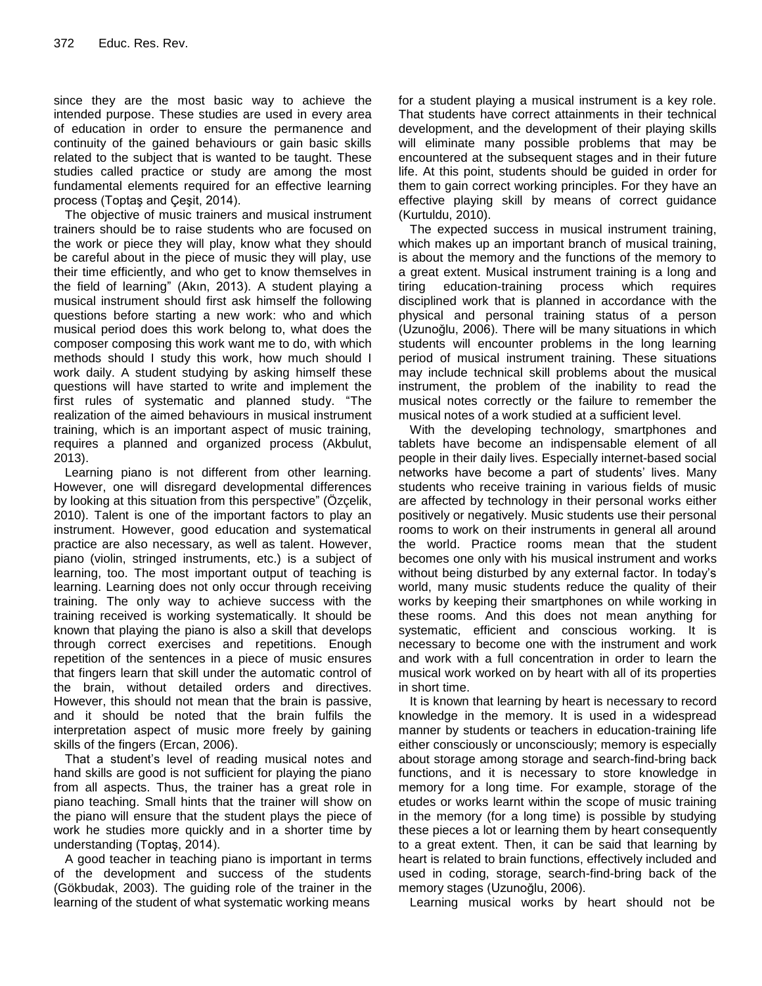since they are the most basic way to achieve the intended purpose. These studies are used in every area of education in order to ensure the permanence and continuity of the gained behaviours or gain basic skills related to the subject that is wanted to be taught. These studies called practice or study are among the most fundamental elements required for an effective learning process (Toptaş and Çeşit, 2014).

The objective of music trainers and musical instrument trainers should be to raise students who are focused on the work or piece they will play, know what they should be careful about in the piece of music they will play, use their time efficiently, and who get to know themselves in the field of learning" (Akın, 2013). A student playing a musical instrument should first ask himself the following questions before starting a new work: who and which musical period does this work belong to, what does the composer composing this work want me to do, with which methods should I study this work, how much should I work daily. A student studying by asking himself these questions will have started to write and implement the first rules of systematic and planned study. "The realization of the aimed behaviours in musical instrument training, which is an important aspect of music training, requires a planned and organized process (Akbulut, 2013).

Learning piano is not different from other learning. However, one will disregard developmental differences by looking at this situation from this perspective" (Özçelik, 2010). Talent is one of the important factors to play an instrument. However, good education and systematical practice are also necessary, as well as talent. However, piano (violin, stringed instruments, etc.) is a subject of learning, too. The most important output of teaching is learning. Learning does not only occur through receiving training. The only way to achieve success with the training received is working systematically. It should be known that playing the piano is also a skill that develops through correct exercises and repetitions. Enough repetition of the sentences in a piece of music ensures that fingers learn that skill under the automatic control of the brain, without detailed orders and directives. However, this should not mean that the brain is passive, and it should be noted that the brain fulfils the interpretation aspect of music more freely by gaining skills of the fingers (Ercan, 2006).

That a student"s level of reading musical notes and hand skills are good is not sufficient for playing the piano from all aspects. Thus, the trainer has a great role in piano teaching. Small hints that the trainer will show on the piano will ensure that the student plays the piece of work he studies more quickly and in a shorter time by understanding (Toptaş, 2014).

A good teacher in teaching piano is important in terms of the development and success of the students (Gökbudak, 2003). The guiding role of the trainer in the learning of the student of what systematic working means

for a student playing a musical instrument is a key role. That students have correct attainments in their technical development, and the development of their playing skills will eliminate many possible problems that may be encountered at the subsequent stages and in their future life. At this point, students should be guided in order for them to gain correct working principles. For they have an effective playing skill by means of correct guidance (Kurtuldu, 2010).

The expected success in musical instrument training, which makes up an important branch of musical training, is about the memory and the functions of the memory to a great extent. Musical instrument training is a long and tiring education-training process which requires disciplined work that is planned in accordance with the physical and personal training status of a person (Uzunoğlu, 2006). There will be many situations in which students will encounter problems in the long learning period of musical instrument training. These situations may include technical skill problems about the musical instrument, the problem of the inability to read the musical notes correctly or the failure to remember the musical notes of a work studied at a sufficient level.

With the developing technology, smartphones and tablets have become an indispensable element of all people in their daily lives. Especially internet-based social networks have become a part of students' lives. Many students who receive training in various fields of music are affected by technology in their personal works either positively or negatively. Music students use their personal rooms to work on their instruments in general all around the world. Practice rooms mean that the student becomes one only with his musical instrument and works without being disturbed by any external factor. In today's world, many music students reduce the quality of their works by keeping their smartphones on while working in these rooms. And this does not mean anything for systematic, efficient and conscious working. It is necessary to become one with the instrument and work and work with a full concentration in order to learn the musical work worked on by heart with all of its properties in short time.

It is known that learning by heart is necessary to record knowledge in the memory. It is used in a widespread manner by students or teachers in education-training life either consciously or unconsciously; memory is especially about storage among storage and search-find-bring back functions, and it is necessary to store knowledge in memory for a long time. For example, storage of the etudes or works learnt within the scope of music training in the memory (for a long time) is possible by studying these pieces a lot or learning them by heart consequently to a great extent. Then, it can be said that learning by heart is related to brain functions, effectively included and used in coding, storage, search-find-bring back of the memory stages (Uzunoğlu, 2006).

Learning musical works by heart should not be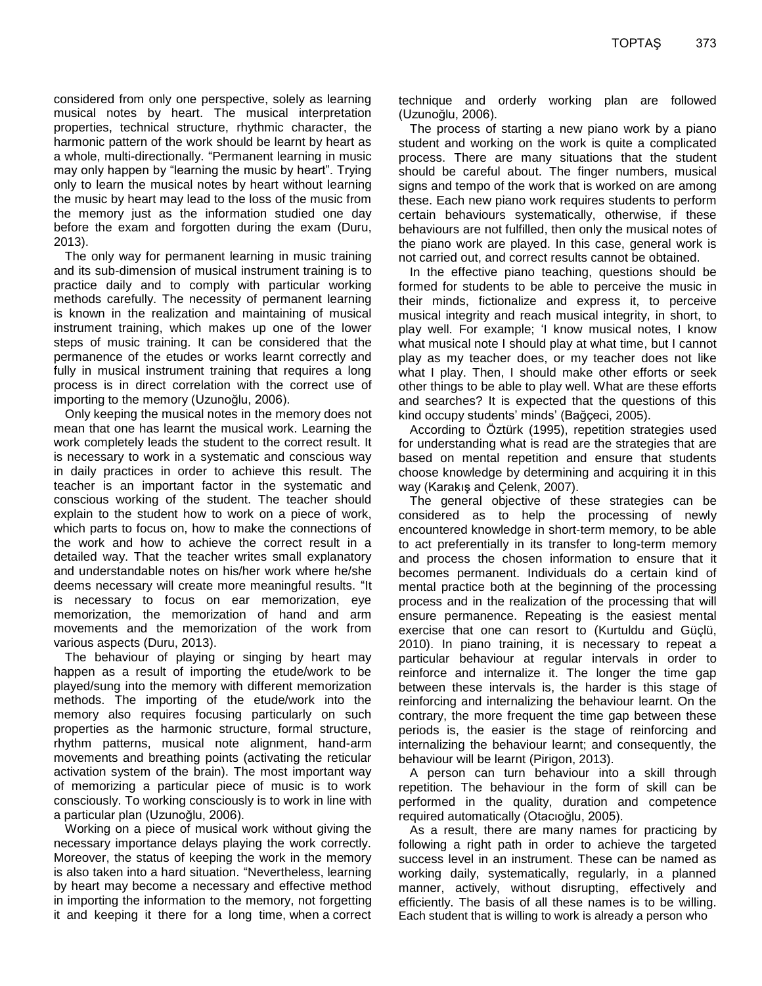considered from only one perspective, solely as learning musical notes by heart. The musical interpretation properties, technical structure, rhythmic character, the harmonic pattern of the work should be learnt by heart as a whole, multi-directionally. "Permanent learning in music may only happen by "learning the music by heart". Trying only to learn the musical notes by heart without learning the music by heart may lead to the loss of the music from the memory just as the information studied one day before the exam and forgotten during the exam (Duru, 2013).

The only way for permanent learning in music training and its sub-dimension of musical instrument training is to practice daily and to comply with particular working methods carefully. The necessity of permanent learning is known in the realization and maintaining of musical instrument training, which makes up one of the lower steps of music training. It can be considered that the permanence of the etudes or works learnt correctly and fully in musical instrument training that requires a long process is in direct correlation with the correct use of importing to the memory (Uzunoğlu, 2006).

Only keeping the musical notes in the memory does not mean that one has learnt the musical work. Learning the work completely leads the student to the correct result. It is necessary to work in a systematic and conscious way in daily practices in order to achieve this result. The teacher is an important factor in the systematic and conscious working of the student. The teacher should explain to the student how to work on a piece of work, which parts to focus on, how to make the connections of the work and how to achieve the correct result in a detailed way. That the teacher writes small explanatory and understandable notes on his/her work where he/she deems necessary will create more meaningful results. "It is necessary to focus on ear memorization, eye memorization, the memorization of hand and arm movements and the memorization of the work from various aspects (Duru, 2013).

The behaviour of playing or singing by heart may happen as a result of importing the etude/work to be played/sung into the memory with different memorization methods. The importing of the etude/work into the memory also requires focusing particularly on such properties as the harmonic structure, formal structure, rhythm patterns, musical note alignment, hand-arm movements and breathing points (activating the reticular activation system of the brain). The most important way of memorizing a particular piece of music is to work consciously. To working consciously is to work in line with a particular plan (Uzunoğlu, 2006).

Working on a piece of musical work without giving the necessary importance delays playing the work correctly. Moreover, the status of keeping the work in the memory is also taken into a hard situation. "Nevertheless, learning by heart may become a necessary and effective method in importing the information to the memory, not forgetting it and keeping it there for a long time, when a correct technique and orderly working plan are followed (Uzunoğlu, 2006).

The process of starting a new piano work by a piano student and working on the work is quite a complicated process. There are many situations that the student should be careful about. The finger numbers, musical signs and tempo of the work that is worked on are among these. Each new piano work requires students to perform certain behaviours systematically, otherwise, if these behaviours are not fulfilled, then only the musical notes of the piano work are played. In this case, general work is not carried out, and correct results cannot be obtained.

In the effective piano teaching, questions should be formed for students to be able to perceive the music in their minds, fictionalize and express it, to perceive musical integrity and reach musical integrity, in short, to play well. For example; 'I know musical notes, I know what musical note I should play at what time, but I cannot play as my teacher does, or my teacher does not like what I play. Then, I should make other efforts or seek other things to be able to play well. What are these efforts and searches? It is expected that the questions of this kind occupy students' minds' (Bağçeci, 2005).

According to Öztürk (1995), repetition strategies used for understanding what is read are the strategies that are based on mental repetition and ensure that students choose knowledge by determining and acquiring it in this way (Karakış and Çelenk, 2007).

The general objective of these strategies can be considered as to help the processing of newly encountered knowledge in short-term memory, to be able to act preferentially in its transfer to long-term memory and process the chosen information to ensure that it becomes permanent. Individuals do a certain kind of mental practice both at the beginning of the processing process and in the realization of the processing that will ensure permanence. Repeating is the easiest mental exercise that one can resort to (Kurtuldu and Güçlü, 2010). In piano training, it is necessary to repeat a particular behaviour at regular intervals in order to reinforce and internalize it. The longer the time gap between these intervals is, the harder is this stage of reinforcing and internalizing the behaviour learnt. On the contrary, the more frequent the time gap between these periods is, the easier is the stage of reinforcing and internalizing the behaviour learnt; and consequently, the behaviour will be learnt (Pirigon, 2013).

A person can turn behaviour into a skill through repetition. The behaviour in the form of skill can be performed in the quality, duration and competence required automatically (Otacıoğlu, 2005).

As a result, there are many names for practicing by following a right path in order to achieve the targeted success level in an instrument. These can be named as working daily, systematically, regularly, in a planned manner, actively, without disrupting, effectively and efficiently. The basis of all these names is to be willing. Each student that is willing to work is already a person who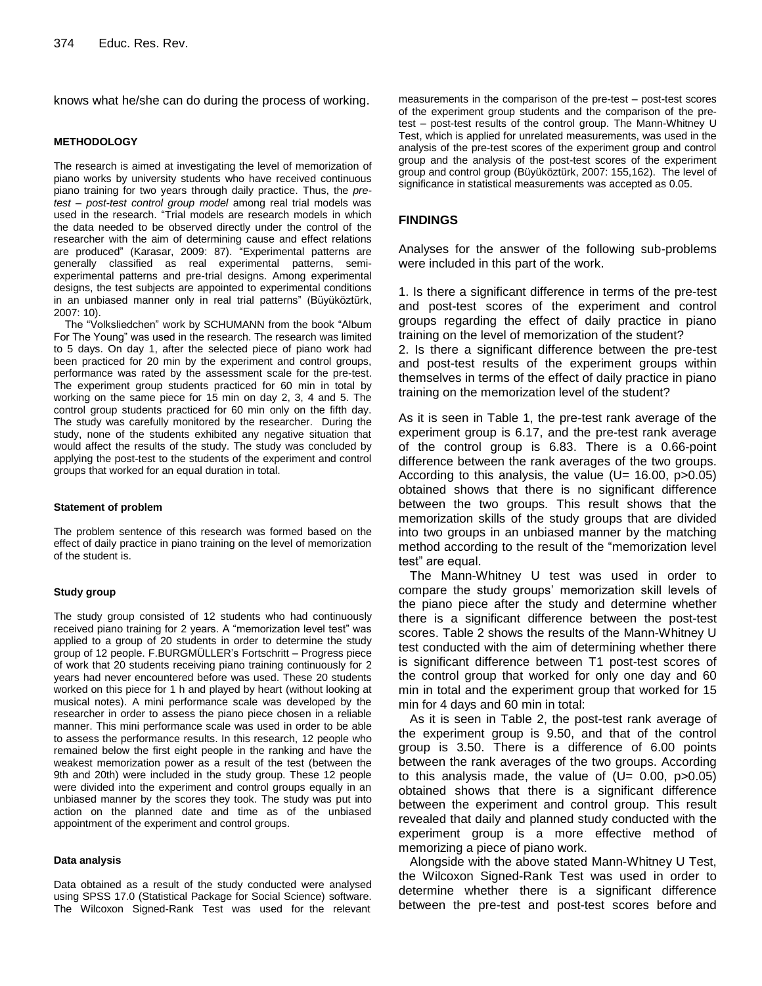knows what he/she can do during the process of working.

#### **METHODOLOGY**

The research is aimed at investigating the level of memorization of piano works by university students who have received continuous piano training for two years through daily practice. Thus, the *pretest – post-test control group model* among real trial models was used in the research. "Trial models are research models in which the data needed to be observed directly under the control of the researcher with the aim of determining cause and effect relations are produced" (Karasar, 2009: 87). "Experimental patterns are generally classified as real experimental patterns, semiexperimental patterns and pre-trial designs. Among experimental designs, the test subjects are appointed to experimental conditions in an unbiased manner only in real trial patterns" (Büyüköztürk, 2007: 10).

The "Volksliedchen" work by SCHUMANN from the book "Album For The Young" was used in the research. The research was limited to 5 days. On day 1, after the selected piece of piano work had been practiced for 20 min by the experiment and control groups, performance was rated by the assessment scale for the pre-test. The experiment group students practiced for 60 min in total by working on the same piece for 15 min on day 2, 3, 4 and 5. The control group students practiced for 60 min only on the fifth day. The study was carefully monitored by the researcher. During the study, none of the students exhibited any negative situation that would affect the results of the study. The study was concluded by applying the post-test to the students of the experiment and control groups that worked for an equal duration in total.

#### **Statement of problem**

The problem sentence of this research was formed based on the effect of daily practice in piano training on the level of memorization of the student is.

#### **Study group**

The study group consisted of 12 students who had continuously received piano training for 2 years. A "memorization level test" was applied to a group of 20 students in order to determine the study group of 12 people. F.BURGMÜLLER"s Fortschritt – Progress piece of work that 20 students receiving piano training continuously for 2 years had never encountered before was used. These 20 students worked on this piece for 1 h and played by heart (without looking at musical notes). A mini performance scale was developed by the researcher in order to assess the piano piece chosen in a reliable manner. This mini performance scale was used in order to be able to assess the performance results. In this research, 12 people who remained below the first eight people in the ranking and have the weakest memorization power as a result of the test (between the 9th and 20th) were included in the study group. These 12 people were divided into the experiment and control groups equally in an unbiased manner by the scores they took. The study was put into action on the planned date and time as of the unbiased appointment of the experiment and control groups.

#### **Data analysis**

Data obtained as a result of the study conducted were analysed using SPSS 17.0 (Statistical Package for Social Science) software. The Wilcoxon Signed-Rank Test was used for the relevant measurements in the comparison of the pre-test – post-test scores of the experiment group students and the comparison of the pretest – post-test results of the control group. The Mann-Whitney U Test, which is applied for unrelated measurements, was used in the analysis of the pre-test scores of the experiment group and control group and the analysis of the post-test scores of the experiment group and control group (Büyüköztürk, 2007: 155,162). The level of significance in statistical measurements was accepted as 0.05.

### **FINDINGS**

Analyses for the answer of the following sub-problems were included in this part of the work.

1. Is there a significant difference in terms of the pre-test and post-test scores of the experiment and control groups regarding the effect of daily practice in piano training on the level of memorization of the student? 2. Is there a significant difference between the pre-test and post-test results of the experiment groups within themselves in terms of the effect of daily practice in piano training on the memorization level of the student?

As it is seen in Table 1, the pre-test rank average of the experiment group is 6.17, and the pre-test rank average of the control group is 6.83. There is a 0.66-point difference between the rank averages of the two groups. According to this analysis, the value  $(U= 16.00, p > 0.05)$ obtained shows that there is no significant difference between the two groups. This result shows that the memorization skills of the study groups that are divided into two groups in an unbiased manner by the matching method according to the result of the "memorization level test" are equal.

The Mann-Whitney U test was used in order to compare the study groups" memorization skill levels of the piano piece after the study and determine whether there is a significant difference between the post-test scores. Table 2 shows the results of the Mann-Whitney U test conducted with the aim of determining whether there is significant difference between T1 post-test scores of the control group that worked for only one day and 60 min in total and the experiment group that worked for 15 min for 4 days and 60 min in total:

As it is seen in Table 2, the post-test rank average of the experiment group is 9.50, and that of the control group is 3.50. There is a difference of 6.00 points between the rank averages of the two groups. According to this analysis made, the value of  $(U= 0.00, p>0.05)$ obtained shows that there is a significant difference between the experiment and control group. This result revealed that daily and planned study conducted with the experiment group is a more effective method of memorizing a piece of piano work.

Alongside with the above stated Mann-Whitney U Test, the Wilcoxon Signed-Rank Test was used in order to determine whether there is a significant difference between the pre-test and post-test scores before and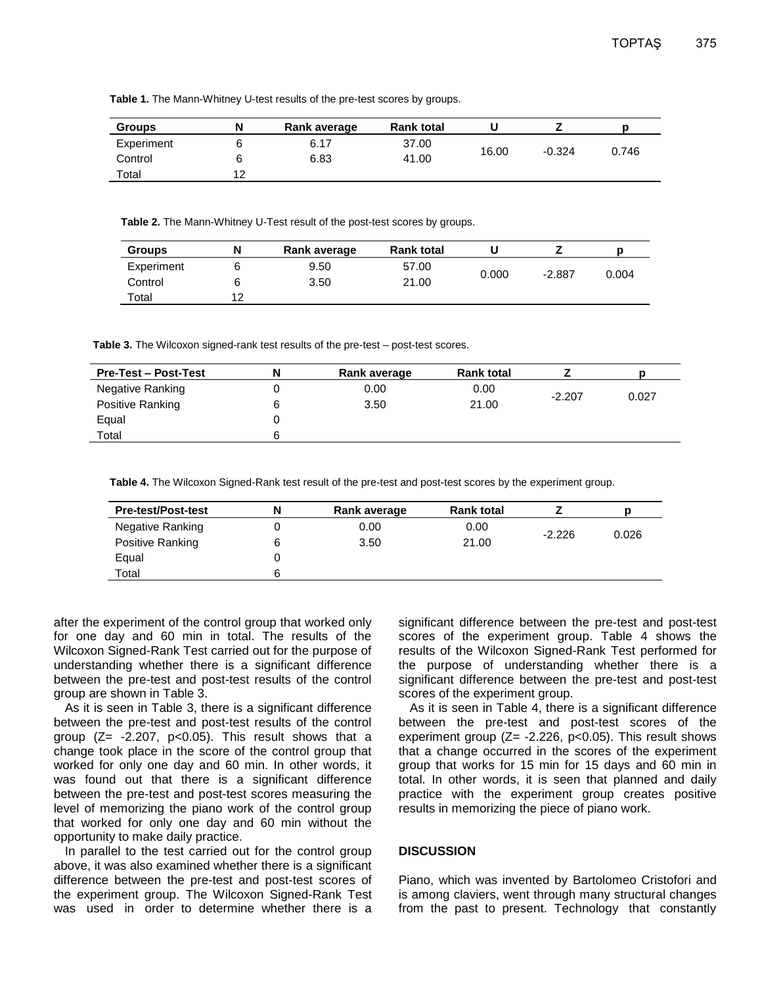**Table 1.** The Mann-Whitney U-test results of the pre-test scores by groups.

| <b>Groups</b> |    | Rank average | <b>Rank total</b> |       |          |       |
|---------------|----|--------------|-------------------|-------|----------|-------|
| Experiment    |    | 6.17         | 37.00             |       |          |       |
| Control       |    | 6.83         | 41.00             | 16.00 | $-0.324$ | 0.746 |
| Total         | 12 |              |                   |       |          |       |

**Table 2.** The Mann-Whitney U-Test result of the post-test scores by groups.

| <b>Groups</b> | N  | Rank average | <b>Rank total</b> |       |          |       |
|---------------|----|--------------|-------------------|-------|----------|-------|
| Experiment    |    | 9.50         | 57.00             |       |          |       |
| Control       |    | 3.50         | 21.00             | 0.000 | $-2.887$ | 0.004 |
| Total         | 12 |              |                   |       |          |       |

**Table 3.** The Wilcoxon signed-rank test results of the pre-test – post-test scores.

| <b>Pre-Test – Post-Test</b> | N | Rank average | <b>Rank total</b> |          |       |
|-----------------------------|---|--------------|-------------------|----------|-------|
| Negative Ranking            |   | 0.00         | 0.00              | $-2.207$ | 0.027 |
| Positive Ranking            |   | 3.50         | 21.00             |          |       |
| Equal                       |   |              |                   |          |       |
| Total                       |   |              |                   |          |       |

**Table 4.** The Wilcoxon Signed-Rank test result of the pre-test and post-test scores by the experiment group.

| <b>Pre-test/Post-test</b> | N | Rank average | <b>Rank total</b> |          |       |
|---------------------------|---|--------------|-------------------|----------|-------|
| Negative Ranking          |   | 0.00         | 0.00              |          | 0.026 |
| Positive Ranking          | 6 | 3.50         | 21.00             | $-2.226$ |       |
| Equal                     |   |              |                   |          |       |
| Total                     | 6 |              |                   |          |       |
|                           |   |              |                   |          |       |

after the experiment of the control group that worked only for one day and 60 min in total. The results of the Wilcoxon Signed-Rank Test carried out for the purpose of understanding whether there is a significant difference between the pre-test and post-test results of the control group are shown in Table 3.

As it is seen in Table 3, there is a significant difference between the pre-test and post-test results of the control group  $(Z= -2.207, p<0.05)$ . This result shows that a change took place in the score of the control group that worked for only one day and 60 min. In other words, it was found out that there is a significant difference between the pre-test and post-test scores measuring the level of memorizing the piano work of the control group that worked for only one day and 60 min without the opportunity to make daily practice.

In parallel to the test carried out for the control group above, it was also examined whether there is a significant difference between the pre-test and post-test scores of the experiment group. The Wilcoxon Signed-Rank Test was used in order to determine whether there is a significant difference between the pre-test and post-test scores of the experiment group. Table 4 shows the results of the Wilcoxon Signed-Rank Test performed for the purpose of understanding whether there is a significant difference between the pre-test and post-test scores of the experiment group.

As it is seen in Table 4, there is a significant difference between the pre-test and post-test scores of the experiment group  $(Z= -2.226, p<0.05)$ . This result shows that a change occurred in the scores of the experiment group that works for 15 min for 15 days and 60 min in total. In other words, it is seen that planned and daily practice with the experiment group creates positive results in memorizing the piece of piano work.

## **DISCUSSION**

Piano, which was invented by Bartolomeo Cristofori and is among claviers, went through many structural changes from the past to present. Technology that constantly